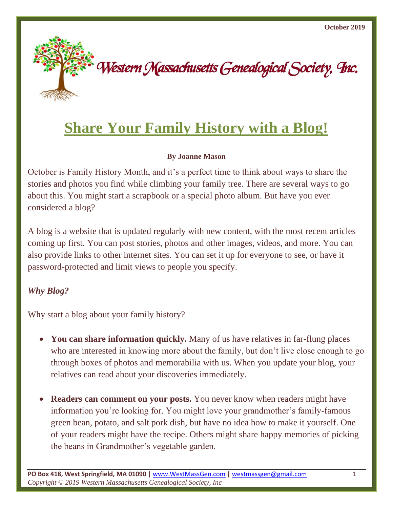

# **Share Your Family History with a Blog!**

### **By Joanne Mason**

October is Family History Month, and it's a perfect time to think about ways to share the stories and photos you find while climbing your family tree. There are several ways to go about this. You might start a scrapbook or a special photo album. But have you ever considered a blog?

A blog is a website that is updated regularly with new content, with the most recent articles coming up first. You can post stories, photos and other images, videos, and more. You can also provide links to other internet sites. You can set it up for everyone to see, or have it password-protected and limit views to people you specify.

# *Why Blog?*

Why start a blog about your family history?

- You can share information quickly. Many of us have relatives in far-flung places who are interested in knowing more about the family, but don't live close enough to go through boxes of photos and memorabilia with us. When you update your blog, your relatives can read about your discoveries immediately.
- **Readers can comment on your posts.** You never know when readers might have information you're looking for. You might love your grandmother's family-famous green bean, potato, and salt pork dish, but have no idea how to make it yourself. One of your readers might have the recipe. Others might share happy memories of picking the beans in Grandmother's vegetable garden.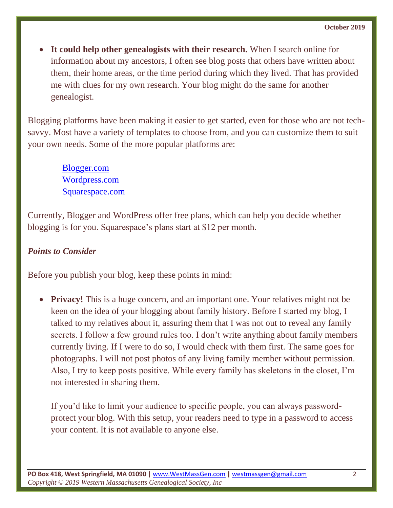• **It could help other genealogists with their research.** When I search online for information about my ancestors, I often see blog posts that others have written about them, their home areas, or the time period during which they lived. That has provided me with clues for my own research. Your blog might do the same for another genealogist.

Blogging platforms have been making it easier to get started, even for those who are not techsavvy. Most have a variety of templates to choose from, and you can customize them to suit your own needs. Some of the more popular platforms are:

> [Blogger.com](https://www.blogger.com/) [Wordpress.com](http://www.wordpress.com/) [Squarespace.com](http://www.squarespace.com/)

Currently, Blogger and WordPress offer free plans, which can help you decide whether blogging is for you. Squarespace's plans start at \$12 per month.

## *Points to Consider*

Before you publish your blog, keep these points in mind:

• **Privacy!** This is a huge concern, and an important one. Your relatives might not be keen on the idea of your blogging about family history. Before I started my blog, I talked to my relatives about it, assuring them that I was not out to reveal any family secrets. I follow a few ground rules too. I don't write anything about family members currently living. If I were to do so, I would check with them first. The same goes for photographs. I will not post photos of any living family member without permission. Also, I try to keep posts positive. While every family has skeletons in the closet, I'm not interested in sharing them.

If you'd like to limit your audience to specific people, you can always passwordprotect your blog. With this setup, your readers need to type in a password to access your content. It is not available to anyone else.